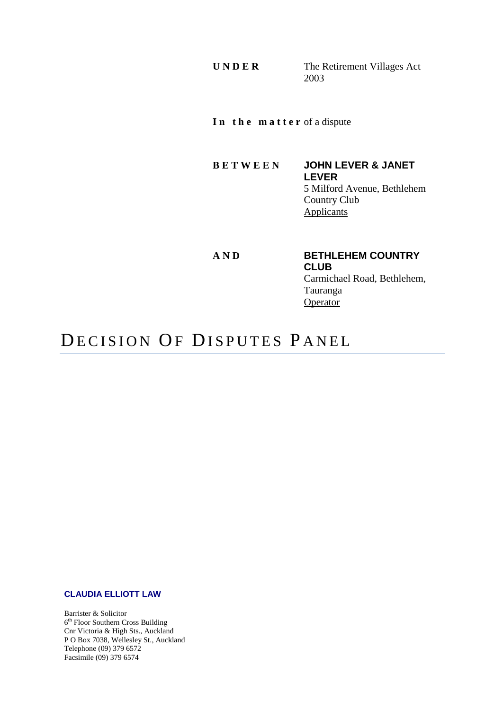**U N D E R** The Retirement Villages Act 2003

**I n t h e m a t t e r** of a dispute

**B E T W E E N JOHN LEVER & JANET LEVER** 5 Milford Avenue, Bethlehem Country Club **Applicants** 

**AND BETHLEHEM COUNTRY CLUB** Carmichael Road, Bethlehem, Tauranga **Operator** 

# DECISION OF DISPUTES PANEL

### **CLAUDIA ELLIOTT LAW**

Barrister & Solicitor 6<sup>th</sup> Floor Southern Cross Building Cnr Victoria & High Sts., Auckland P O Box 7038, Wellesley St., Auckland Telephone (09) 379 6572 Facsimile (09) 379 6574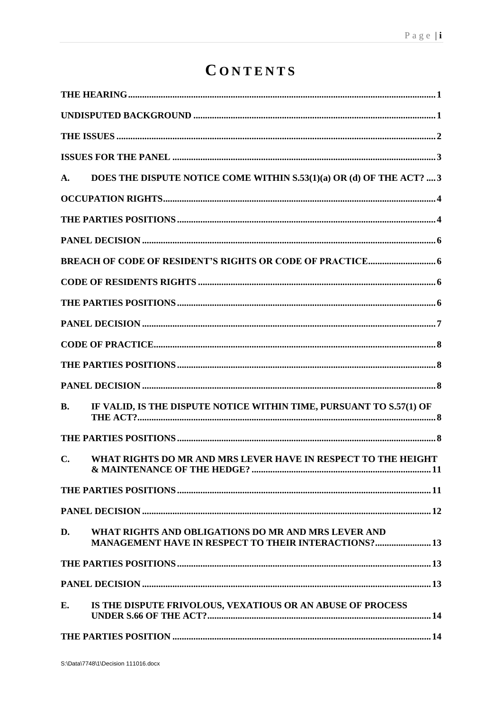# CONTENTS

| A.        | DOES THE DISPUTE NOTICE COME WITHIN S.53(1)(a) OR (d) OF THE ACT?  3                                               |
|-----------|--------------------------------------------------------------------------------------------------------------------|
|           |                                                                                                                    |
|           |                                                                                                                    |
|           |                                                                                                                    |
|           |                                                                                                                    |
|           |                                                                                                                    |
|           |                                                                                                                    |
|           |                                                                                                                    |
|           |                                                                                                                    |
|           |                                                                                                                    |
|           |                                                                                                                    |
| <b>B.</b> | IF VALID, IS THE DISPUTE NOTICE WITHIN TIME, PURSUANT TO S.57(1) OF                                                |
|           |                                                                                                                    |
| C.        | WHAT RIGHTS DO MR AND MRS LEVER HAVE IN RESPECT TO THE HEIGHT                                                      |
|           |                                                                                                                    |
|           |                                                                                                                    |
| D.        | WHAT RIGHTS AND OBLIGATIONS DO MR AND MRS LEVER AND<br><b>MANAGEMENT HAVE IN RESPECT TO THEIR INTERACTIONS? 13</b> |
|           |                                                                                                                    |
|           |                                                                                                                    |
| E.        | IS THE DISPUTE FRIVOLOUS, VEXATIOUS OR AN ABUSE OF PROCESS                                                         |
|           |                                                                                                                    |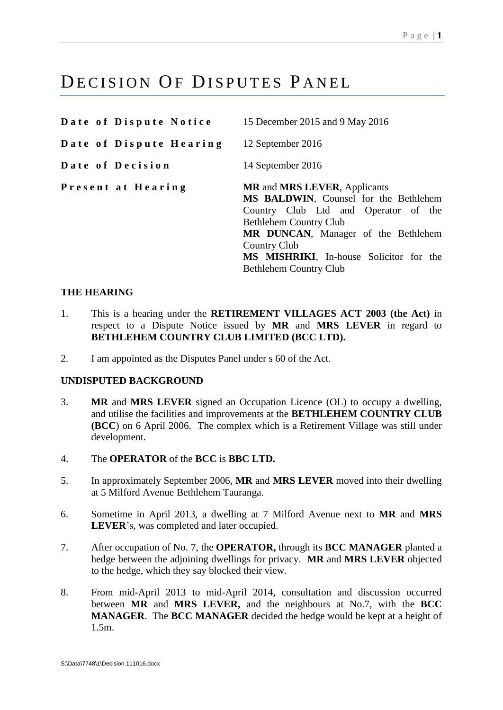# DECISION OF DISPUTES PANEL

**Date of Dispute Notice** 15 December 2015 and 9 May 2016

**Date of Dispute Hearing** 12 September 2016

**Date of Decision** 14 September 2016

Bethlehem Country Club

**P r e s e n t a t H e a r i n g MR** and **MRS LEVER**, Applicants **MS BALDWIN**, Counsel for the Bethlehem Country Club Ltd and Operator of the Bethlehem Country Club **MR DUNCAN**, Manager of the Bethlehem Country Club **MS MISHRIKI**, In-house Solicitor for the

# <span id="page-3-0"></span>**THE HEARING**

- 1. This is a hearing under the **RETIREMENT VILLAGES ACT 2003 (the Act)** in respect to a Dispute Notice issued by **MR** and **MRS LEVER** in regard to **BETHLEHEM COUNTRY CLUB LIMITED (BCC LTD).**
- 2. I am appointed as the Disputes Panel under s 60 of the Act.

# <span id="page-3-1"></span>**UNDISPUTED BACKGROUND**

- 3. **MR** and **MRS LEVER** signed an Occupation Licence (OL) to occupy a dwelling, and utilise the facilities and improvements at the **BETHLEHEM COUNTRY CLUB (BCC**) on 6 April 2006. The complex which is a Retirement Village was still under development.
- 4. The **OPERATOR** of the **BCC** is **BBC LTD.**
- 5. In approximately September 2006, **MR** and **MRS LEVER** moved into their dwelling at 5 Milford Avenue Bethlehem Tauranga.
- 6. Sometime in April 2013, a dwelling at 7 Milford Avenue next to **MR** and **MRS LEVER**'s, was completed and later occupied.
- 7. After occupation of No. 7, the **OPERATOR,** through its **BCC MANAGER** planted a hedge between the adjoining dwellings for privacy. **MR** and **MRS LEVER** objected to the hedge, which they say blocked their view.
- 8. From mid-April 2013 to mid-April 2014, consultation and discussion occurred between **MR** and **MRS LEVER,** and the neighbours at No.7, with the **BCC MANAGER**. The **BCC MANAGER** decided the hedge would be kept at a height of 1.5m.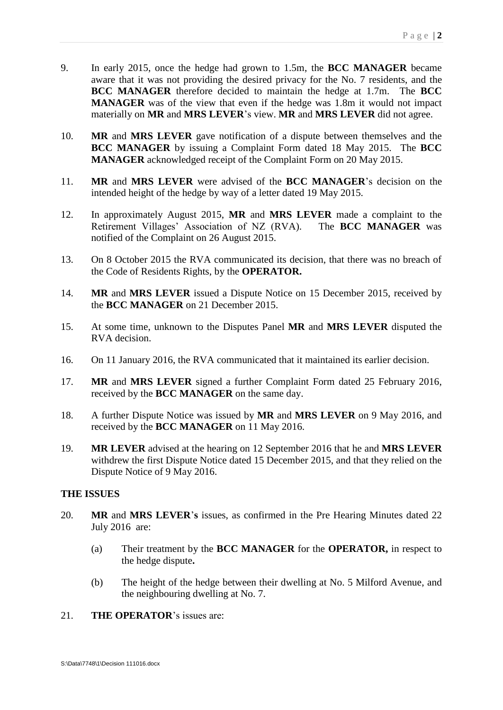- 9. In early 2015, once the hedge had grown to 1.5m, the **BCC MANAGER** became aware that it was not providing the desired privacy for the No. 7 residents, and the **BCC MANAGER** therefore decided to maintain the hedge at 1.7m. The **BCC MANAGER** was of the view that even if the hedge was 1.8m it would not impact materially on **MR** and **MRS LEVER**'s view. **MR** and **MRS LEVER** did not agree.
- 10. **MR** and **MRS LEVER** gave notification of a dispute between themselves and the **BCC MANAGER** by issuing a Complaint Form dated 18 May 2015. The **BCC MANAGER** acknowledged receipt of the Complaint Form on 20 May 2015.
- 11. **MR** and **MRS LEVER** were advised of the **BCC MANAGER**'s decision on the intended height of the hedge by way of a letter dated 19 May 2015.
- 12. In approximately August 2015, **MR** and **MRS LEVER** made a complaint to the Retirement Villages' Association of NZ (RVA). The **BCC MANAGER** was notified of the Complaint on 26 August 2015.
- 13. On 8 October 2015 the RVA communicated its decision, that there was no breach of the Code of Residents Rights, by the **OPERATOR.**
- 14. **MR** and **MRS LEVER** issued a Dispute Notice on 15 December 2015, received by the **BCC MANAGER** on 21 December 2015.
- 15. At some time, unknown to the Disputes Panel **MR** and **MRS LEVER** disputed the RVA decision.
- 16. On 11 January 2016, the RVA communicated that it maintained its earlier decision.
- 17. **MR** and **MRS LEVER** signed a further Complaint Form dated 25 February 2016, received by the **BCC MANAGER** on the same day.
- 18. A further Dispute Notice was issued by **MR** and **MRS LEVER** on 9 May 2016, and received by the **BCC MANAGER** on 11 May 2016.
- 19. **MR LEVER** advised at the hearing on 12 September 2016 that he and **MRS LEVER** withdrew the first Dispute Notice dated 15 December 2015, and that they relied on the Dispute Notice of 9 May 2016.

# <span id="page-4-0"></span>**THE ISSUES**

- 20. **MR** and **MRS LEVER**'**s** issues, as confirmed in the Pre Hearing Minutes dated 22 July 2016 are:
	- (a) Their treatment by the **BCC MANAGER** for the **OPERATOR,** in respect to the hedge dispute**.**
	- (b) The height of the hedge between their dwelling at No. 5 Milford Avenue, and the neighbouring dwelling at No. 7.
- 21. **THE OPERATOR**'s issues are: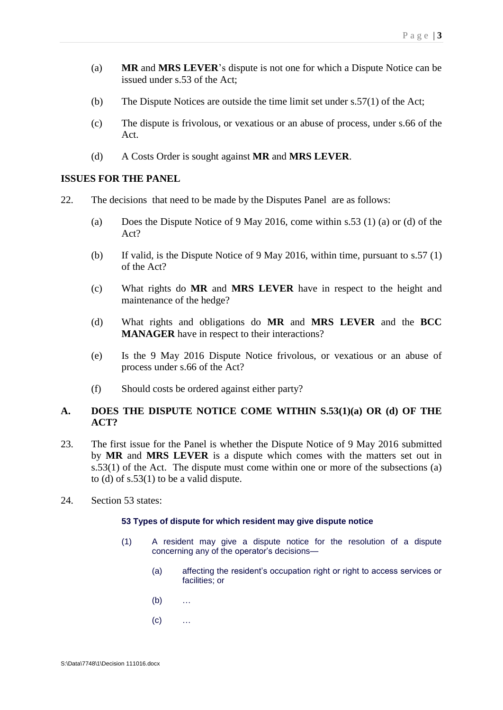- (a) **MR** and **MRS LEVER**'s dispute is not one for which a Dispute Notice can be issued under s.53 of the Act;
- (b) The Dispute Notices are outside the time limit set under s.57(1) of the Act;
- (c) The dispute is frivolous, or vexatious or an abuse of process, under s.66 of the Act.
- (d) A Costs Order is sought against **MR** and **MRS LEVER**.

# <span id="page-5-0"></span>**ISSUES FOR THE PANEL**

- 22. The decisions that need to be made by the Disputes Panel are as follows:
	- (a) Does the Dispute Notice of 9 May 2016, come within s.53 (1) (a) or (d) of the Act?
	- (b) If valid, is the Dispute Notice of 9 May 2016, within time, pursuant to s.57 (1) of the Act?
	- (c) What rights do **MR** and **MRS LEVER** have in respect to the height and maintenance of the hedge?
	- (d) What rights and obligations do **MR** and **MRS LEVER** and the **BCC MANAGER** have in respect to their interactions?
	- (e) Is the 9 May 2016 Dispute Notice frivolous, or vexatious or an abuse of process under s.66 of the Act?
	- (f) Should costs be ordered against either party?

# <span id="page-5-1"></span>**A. DOES THE DISPUTE NOTICE COME WITHIN S.53(1)(a) OR (d) OF THE ACT?**

- 23. The first issue for the Panel is whether the Dispute Notice of 9 May 2016 submitted by **MR** and **MRS LEVER** is a dispute which comes with the matters set out in s.53(1) of the Act. The dispute must come within one or more of the subsections (a) to (d) of  $s.53(1)$  to be a valid dispute.
- 24. Section 53 states:

## **53 Types of dispute for which resident may give dispute notice**

- (1) A resident may give a dispute notice for the resolution of a dispute concerning any of the operator's decisions—
	- (a) affecting the resident's occupation right or right to access services or facilities; or
	- (b) …
	- $(c)$  …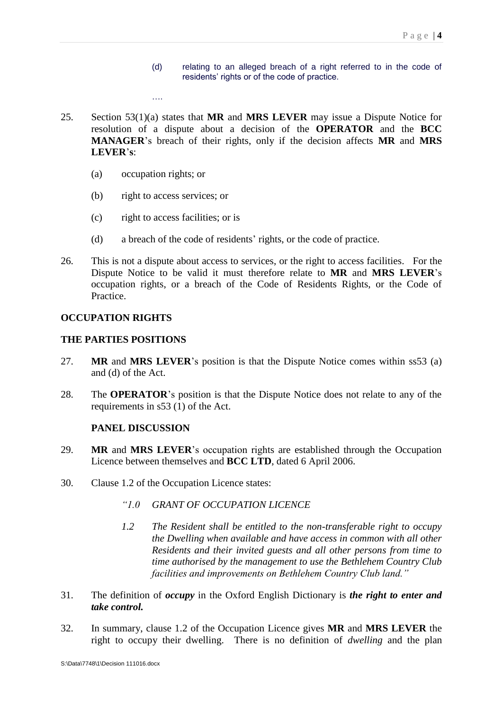- (d) relating to an alleged breach of a right referred to in the code of residents' rights or of the code of practice.
- 25. Section 53(1)(a) states that **MR** and **MRS LEVER** may issue a Dispute Notice for resolution of a dispute about a decision of the **OPERATOR** and the **BCC MANAGER**'s breach of their rights, only if the decision affects **MR** and **MRS LEVER**'**s**:
	- (a) occupation rights; or
	- (b) right to access services; or

….

- (c) right to access facilities; or is
- (d) a breach of the code of residents' rights, or the code of practice.
- 26. This is not a dispute about access to services, or the right to access facilities. For the Dispute Notice to be valid it must therefore relate to **MR** and **MRS LEVER**'s occupation rights, or a breach of the Code of Residents Rights, or the Code of Practice.

### <span id="page-6-0"></span>**OCCUPATION RIGHTS**

#### <span id="page-6-1"></span>**THE PARTIES POSITIONS**

- 27. **MR** and **MRS LEVER**'s position is that the Dispute Notice comes within ss53 (a) and (d) of the Act.
- 28. The **OPERATOR**'s position is that the Dispute Notice does not relate to any of the requirements in s53 (1) of the Act.

#### **PANEL DISCUSSION**

- 29. **MR** and **MRS LEVER**'s occupation rights are established through the Occupation Licence between themselves and **BCC LTD**, dated 6 April 2006.
- 30. Clause 1.2 of the Occupation Licence states:
	- *"1.0 GRANT OF OCCUPATION LICENCE*
	- *1.2 The Resident shall be entitled to the non-transferable right to occupy the Dwelling when available and have access in common with all other Residents and their invited guests and all other persons from time to time authorised by the management to use the Bethlehem Country Club facilities and improvements on Bethlehem Country Club land."*
- 31. The definition of *occupy* in the Oxford English Dictionary is *the right to enter and take control.*
- 32. In summary, clause 1.2 of the Occupation Licence gives **MR** and **MRS LEVER** the right to occupy their dwelling. There is no definition of *dwelling* and the plan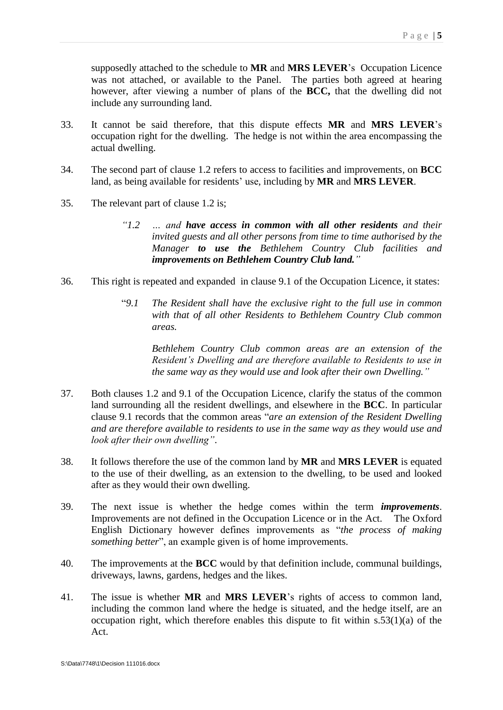supposedly attached to the schedule to **MR** and **MRS LEVER**'s Occupation Licence was not attached, or available to the Panel. The parties both agreed at hearing however, after viewing a number of plans of the **BCC,** that the dwelling did not include any surrounding land.

- 33. It cannot be said therefore, that this dispute effects **MR** and **MRS LEVER**'s occupation right for the dwelling. The hedge is not within the area encompassing the actual dwelling.
- 34. The second part of clause 1.2 refers to access to facilities and improvements, on **BCC** land, as being available for residents' use, including by **MR** and **MRS LEVER**.
- 35. The relevant part of clause 1.2 is;
	- *"1.2 … and have access in common with all other residents and their invited guests and all other persons from time to time authorised by the Manager to use the Bethlehem Country Club facilities and improvements on Bethlehem Country Club land."*
- 36. This right is repeated and expanded in clause 9.1 of the Occupation Licence, it states:
	- "*9.1 The Resident shall have the exclusive right to the full use in common with that of all other Residents to Bethlehem Country Club common areas.*

*Bethlehem Country Club common areas are an extension of the Resident's Dwelling and are therefore available to Residents to use in the same way as they would use and look after their own Dwelling."*

- 37. Both clauses 1.2 and 9.1 of the Occupation Licence, clarify the status of the common land surrounding all the resident dwellings, and elsewhere in the **BCC**. In particular clause 9.1 records that the common areas "*are an extension of the Resident Dwelling and are therefore available to residents to use in the same way as they would use and look after their own dwelling"*.
- 38. It follows therefore the use of the common land by **MR** and **MRS LEVER** is equated to the use of their dwelling, as an extension to the dwelling, to be used and looked after as they would their own dwelling.
- 39. The next issue is whether the hedge comes within the term *improvements*. Improvements are not defined in the Occupation Licence or in the Act. The Oxford English Dictionary however defines improvements as "*the process of making something better*", an example given is of home improvements.
- 40. The improvements at the **BCC** would by that definition include, communal buildings, driveways, lawns, gardens, hedges and the likes.
- 41. The issue is whether **MR** and **MRS LEVER**'s rights of access to common land, including the common land where the hedge is situated, and the hedge itself, are an occupation right, which therefore enables this dispute to fit within  $s.53(1)(a)$  of the Act.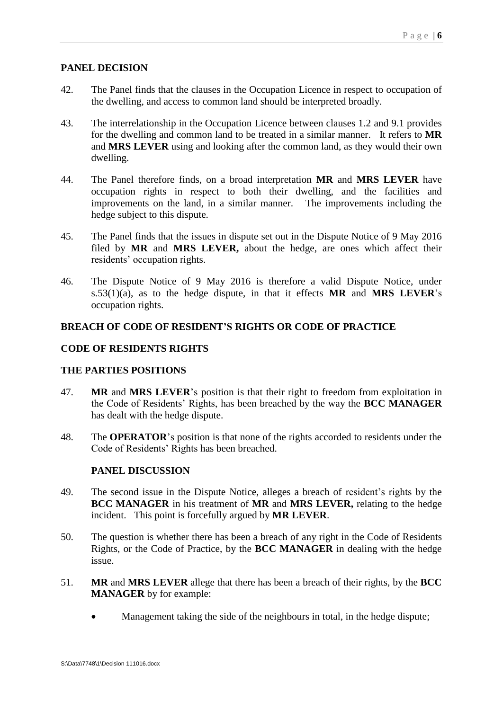## <span id="page-8-0"></span>**PANEL DECISION**

- 42. The Panel finds that the clauses in the Occupation Licence in respect to occupation of the dwelling, and access to common land should be interpreted broadly.
- 43. The interrelationship in the Occupation Licence between clauses 1.2 and 9.1 provides for the dwelling and common land to be treated in a similar manner. It refers to **MR**  and **MRS LEVER** using and looking after the common land, as they would their own dwelling.
- 44. The Panel therefore finds, on a broad interpretation **MR** and **MRS LEVER** have occupation rights in respect to both their dwelling, and the facilities and improvements on the land, in a similar manner. The improvements including the hedge subject to this dispute.
- 45. The Panel finds that the issues in dispute set out in the Dispute Notice of 9 May 2016 filed by **MR** and **MRS LEVER,** about the hedge, are ones which affect their residents' occupation rights.
- 46. The Dispute Notice of 9 May 2016 is therefore a valid Dispute Notice, under s.53(1)(a), as to the hedge dispute, in that it effects **MR** and **MRS LEVER**'s occupation rights.

# <span id="page-8-1"></span>**BREACH OF CODE OF RESIDENT'S RIGHTS OR CODE OF PRACTICE**

# <span id="page-8-2"></span>**CODE OF RESIDENTS RIGHTS**

## <span id="page-8-3"></span>**THE PARTIES POSITIONS**

- 47. **MR** and **MRS LEVER**'s position is that their right to freedom from exploitation in the Code of Residents' Rights, has been breached by the way the **BCC MANAGER** has dealt with the hedge dispute.
- 48. The **OPERATOR**'s position is that none of the rights accorded to residents under the Code of Residents' Rights has been breached.

## **PANEL DISCUSSION**

- 49. The second issue in the Dispute Notice, alleges a breach of resident's rights by the **BCC MANAGER** in his treatment of **MR** and **MRS LEVER,** relating to the hedge incident. This point is forcefully argued by **MR LEVER**.
- 50. The question is whether there has been a breach of any right in the Code of Residents Rights, or the Code of Practice, by the **BCC MANAGER** in dealing with the hedge issue.
- 51. **MR** and **MRS LEVER** allege that there has been a breach of their rights, by the **BCC MANAGER** by for example:
	- Management taking the side of the neighbours in total, in the hedge dispute;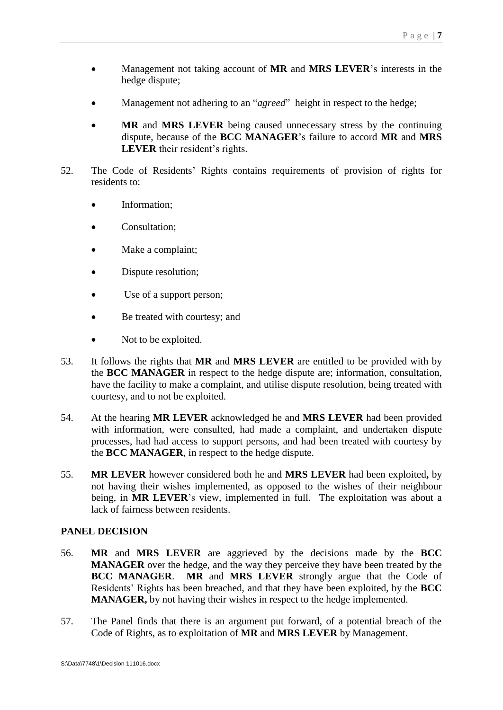- Management not taking account of **MR** and **MRS LEVER**'s interests in the hedge dispute;
- Management not adhering to an "*agreed*" height in respect to the hedge;
- **MR** and **MRS LEVER** being caused unnecessary stress by the continuing dispute, because of the **BCC MANAGER**'s failure to accord **MR** and **MRS LEVER** their resident's rights.
- 52. The Code of Residents' Rights contains requirements of provision of rights for residents to:
	- Information;
	- Consultation;
	- Make a complaint;
	- Dispute resolution;
	- Use of a support person;
	- Be treated with courtesy; and
	- Not to be exploited.
- 53. It follows the rights that **MR** and **MRS LEVER** are entitled to be provided with by the **BCC MANAGER** in respect to the hedge dispute are; information, consultation, have the facility to make a complaint, and utilise dispute resolution, being treated with courtesy, and to not be exploited.
- 54. At the hearing **MR LEVER** acknowledged he and **MRS LEVER** had been provided with information, were consulted, had made a complaint, and undertaken dispute processes, had had access to support persons, and had been treated with courtesy by the **BCC MANAGER**, in respect to the hedge dispute.
- 55. **MR LEVER** however considered both he and **MRS LEVER** had been exploited**,** by not having their wishes implemented, as opposed to the wishes of their neighbour being, in **MR LEVER**'s view, implemented in full. The exploitation was about a lack of fairness between residents.

- <span id="page-9-0"></span>56. **MR** and **MRS LEVER** are aggrieved by the decisions made by the **BCC MANAGER** over the hedge, and the way they perceive they have been treated by the **BCC MANAGER**. **MR** and **MRS LEVER** strongly argue that the Code of Residents' Rights has been breached, and that they have been exploited, by the **BCC MANAGER,** by not having their wishes in respect to the hedge implemented.
- 57. The Panel finds that there is an argument put forward, of a potential breach of the Code of Rights, as to exploitation of **MR** and **MRS LEVER** by Management.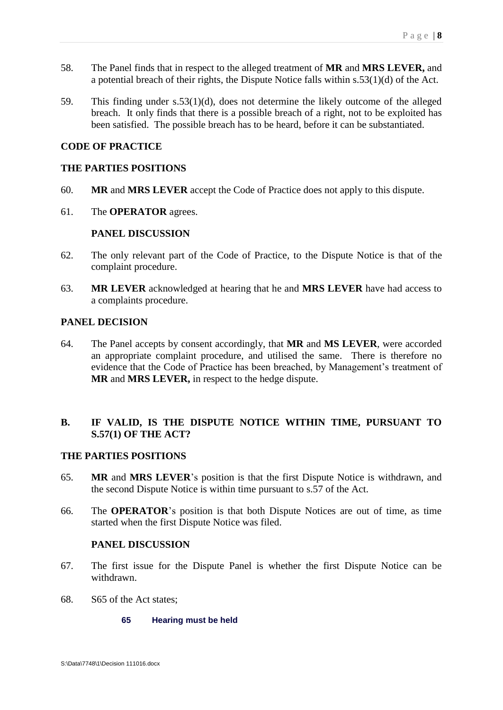- 58. The Panel finds that in respect to the alleged treatment of **MR** and **MRS LEVER,** and a potential breach of their rights, the Dispute Notice falls within s.53(1)(d) of the Act.
- 59. This finding under s.53(1)(d), does not determine the likely outcome of the alleged breach. It only finds that there is a possible breach of a right, not to be exploited has been satisfied. The possible breach has to be heard, before it can be substantiated.

### <span id="page-10-0"></span>**CODE OF PRACTICE**

#### <span id="page-10-1"></span>**THE PARTIES POSITIONS**

- 60. **MR** and **MRS LEVER** accept the Code of Practice does not apply to this dispute.
- 61. The **OPERATOR** agrees.

### **PANEL DISCUSSION**

- 62. The only relevant part of the Code of Practice, to the Dispute Notice is that of the complaint procedure.
- 63. **MR LEVER** acknowledged at hearing that he and **MRS LEVER** have had access to a complaints procedure.

### <span id="page-10-2"></span>**PANEL DECISION**

64. The Panel accepts by consent accordingly, that **MR** and **MS LEVER**, were accorded an appropriate complaint procedure, and utilised the same. There is therefore no evidence that the Code of Practice has been breached, by Management's treatment of **MR** and **MRS LEVER,** in respect to the hedge dispute.

# <span id="page-10-3"></span>**B. IF VALID, IS THE DISPUTE NOTICE WITHIN TIME, PURSUANT TO S.57(1) OF THE ACT?**

## <span id="page-10-4"></span>**THE PARTIES POSITIONS**

- 65. **MR** and **MRS LEVER**'s position is that the first Dispute Notice is withdrawn, and the second Dispute Notice is within time pursuant to s.57 of the Act.
- 66. The **OPERATOR**'s position is that both Dispute Notices are out of time, as time started when the first Dispute Notice was filed.

### **PANEL DISCUSSION**

- 67. The first issue for the Dispute Panel is whether the first Dispute Notice can be withdrawn.
- 68. S65 of the Act states;

#### **65 Hearing must be held**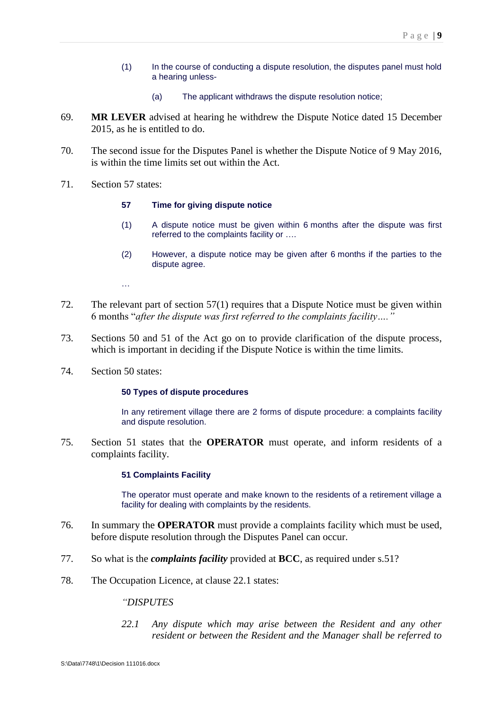- (1) In the course of conducting a dispute resolution, the disputes panel must hold a hearing unless-
	- (a) The applicant withdraws the dispute resolution notice;
- 69. **MR LEVER** advised at hearing he withdrew the Dispute Notice dated 15 December 2015, as he is entitled to do.
- 70. The second issue for the Disputes Panel is whether the Dispute Notice of 9 May 2016, is within the time limits set out within the Act.
- 71. Section 57 states:

#### **57 Time for giving dispute notice**

- (1) A dispute notice must be given within 6 months after the dispute was first referred to the complaints facility or ….
- (2) However, a dispute notice may be given after 6 months if the parties to the dispute agree.

…

- 72. The relevant part of section 57(1) requires that a Dispute Notice must be given within 6 months "*after the dispute was first referred to the complaints facility…."*
- 73. Sections 50 and 51 of the Act go on to provide clarification of the dispute process, which is important in deciding if the Dispute Notice is within the time limits.
- 74. Section 50 states:

#### **50 Types of dispute procedures**

In any retirement village there are 2 forms of dispute procedure: a complaints facility and dispute resolution.

75. Section 51 states that the **OPERATOR** must operate, and inform residents of a complaints facility.

#### **51 Complaints Facility**

The operator must operate and make known to the residents of a retirement village a facility for dealing with complaints by the residents.

- 76. In summary the **OPERATOR** must provide a complaints facility which must be used, before dispute resolution through the Disputes Panel can occur.
- 77. So what is the *complaints facility* provided at **BCC**, as required under s.51?
- 78. The Occupation Licence, at clause 22.1 states:

*"DISPUTES*

*22.1 Any dispute which may arise between the Resident and any other resident or between the Resident and the Manager shall be referred to*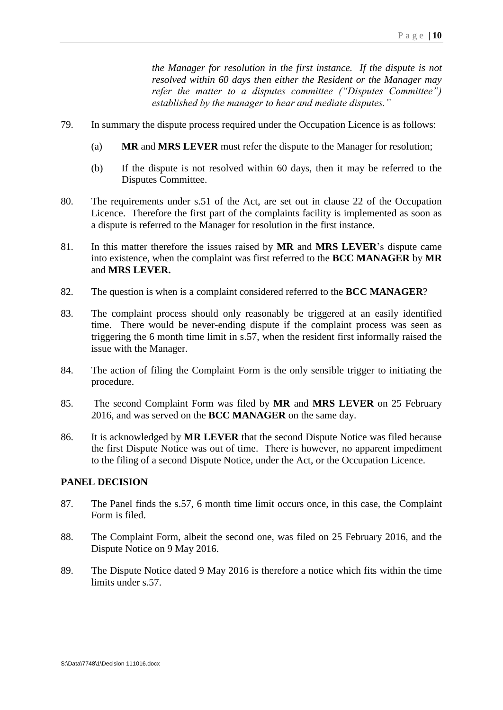*the Manager for resolution in the first instance. If the dispute is not resolved within 60 days then either the Resident or the Manager may refer the matter to a disputes committee ("Disputes Committee") established by the manager to hear and mediate disputes."*

- 79. In summary the dispute process required under the Occupation Licence is as follows:
	- (a) **MR** and **MRS LEVER** must refer the dispute to the Manager for resolution;
	- (b) If the dispute is not resolved within 60 days, then it may be referred to the Disputes Committee.
- 80. The requirements under s.51 of the Act, are set out in clause 22 of the Occupation Licence. Therefore the first part of the complaints facility is implemented as soon as a dispute is referred to the Manager for resolution in the first instance.
- 81. In this matter therefore the issues raised by **MR** and **MRS LEVER**'s dispute came into existence, when the complaint was first referred to the **BCC MANAGER** by **MR**  and **MRS LEVER.**
- 82. The question is when is a complaint considered referred to the **BCC MANAGER**?
- 83. The complaint process should only reasonably be triggered at an easily identified time. There would be never-ending dispute if the complaint process was seen as triggering the 6 month time limit in s.57, when the resident first informally raised the issue with the Manager.
- 84. The action of filing the Complaint Form is the only sensible trigger to initiating the procedure.
- 85. The second Complaint Form was filed by **MR** and **MRS LEVER** on 25 February 2016, and was served on the **BCC MANAGER** on the same day.
- 86. It is acknowledged by **MR LEVER** that the second Dispute Notice was filed because the first Dispute Notice was out of time. There is however, no apparent impediment to the filing of a second Dispute Notice, under the Act, or the Occupation Licence.

- 87. The Panel finds the s.57, 6 month time limit occurs once, in this case, the Complaint Form is filed.
- 88. The Complaint Form, albeit the second one, was filed on 25 February 2016, and the Dispute Notice on 9 May 2016.
- 89. The Dispute Notice dated 9 May 2016 is therefore a notice which fits within the time limits under s.57.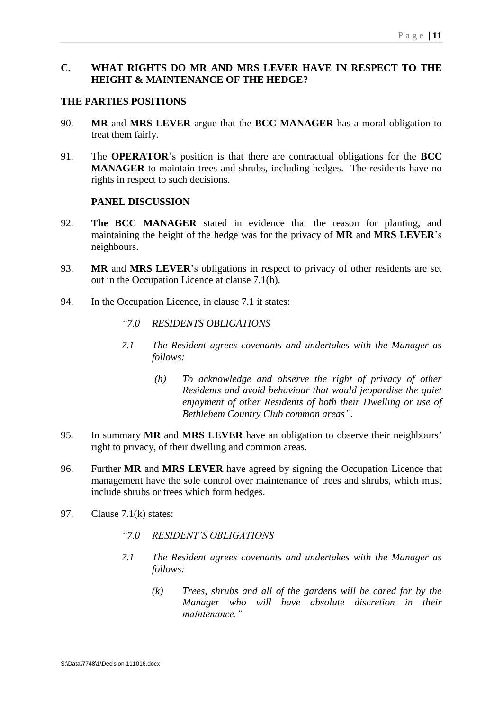# <span id="page-13-0"></span>**C. WHAT RIGHTS DO MR AND MRS LEVER HAVE IN RESPECT TO THE HEIGHT & MAINTENANCE OF THE HEDGE?**

### <span id="page-13-1"></span>**THE PARTIES POSITIONS**

- 90. **MR** and **MRS LEVER** argue that the **BCC MANAGER** has a moral obligation to treat them fairly.
- 91. The **OPERATOR**'s position is that there are contractual obligations for the **BCC MANAGER** to maintain trees and shrubs, including hedges. The residents have no rights in respect to such decisions.

### **PANEL DISCUSSION**

- 92. **The BCC MANAGER** stated in evidence that the reason for planting, and maintaining the height of the hedge was for the privacy of **MR** and **MRS LEVER**'s neighbours.
- 93. **MR** and **MRS LEVER**'s obligations in respect to privacy of other residents are set out in the Occupation Licence at clause 7.1(h).
- 94. In the Occupation Licence, in clause 7.1 it states:
	- *"7.0 RESIDENTS OBLIGATIONS*
	- *7.1 The Resident agrees covenants and undertakes with the Manager as follows:*
		- *(h) To acknowledge and observe the right of privacy of other Residents and avoid behaviour that would jeopardise the quiet enjoyment of other Residents of both their Dwelling or use of Bethlehem Country Club common areas".*
- 95. In summary **MR** and **MRS LEVER** have an obligation to observe their neighbours' right to privacy, of their dwelling and common areas.
- 96. Further **MR** and **MRS LEVER** have agreed by signing the Occupation Licence that management have the sole control over maintenance of trees and shrubs, which must include shrubs or trees which form hedges.
- 97. Clause 7.1(k) states:
	- *"7.0 RESIDENT'S OBLIGATIONS*
	- *7.1 The Resident agrees covenants and undertakes with the Manager as follows:*
		- *(k) Trees, shrubs and all of the gardens will be cared for by the Manager who will have absolute discretion in their maintenance."*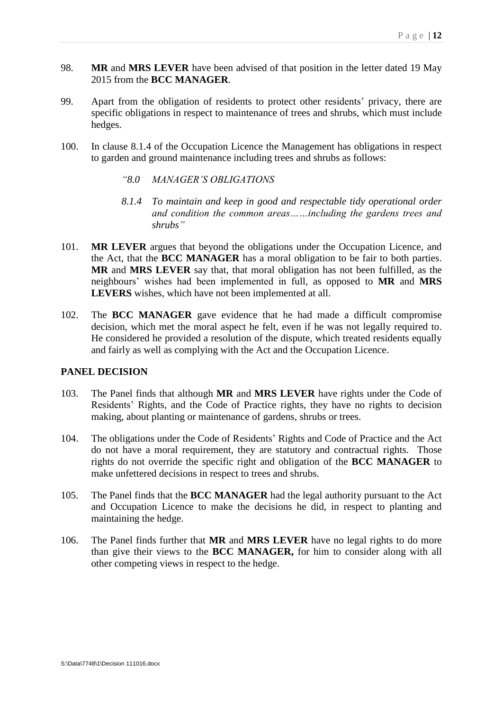- 98. **MR** and **MRS LEVER** have been advised of that position in the letter dated 19 May 2015 from the **BCC MANAGER**.
- 99. Apart from the obligation of residents to protect other residents' privacy, there are specific obligations in respect to maintenance of trees and shrubs, which must include hedges.
- 100. In clause 8.1.4 of the Occupation Licence the Management has obligations in respect to garden and ground maintenance including trees and shrubs as follows:
	- *"8.0 MANAGER'S OBLIGATIONS*
	- *8.1.4 To maintain and keep in good and respectable tidy operational order and condition the common areas……including the gardens trees and shrubs"*
- 101. **MR LEVER** argues that beyond the obligations under the Occupation Licence, and the Act, that the **BCC MANAGER** has a moral obligation to be fair to both parties. **MR** and **MRS LEVER** say that, that moral obligation has not been fulfilled, as the neighbours' wishes had been implemented in full, as opposed to **MR** and **MRS LEVERS** wishes, which have not been implemented at all.
- 102. The **BCC MANAGER** gave evidence that he had made a difficult compromise decision, which met the moral aspect he felt, even if he was not legally required to. He considered he provided a resolution of the dispute, which treated residents equally and fairly as well as complying with the Act and the Occupation Licence.

- <span id="page-14-0"></span>103. The Panel finds that although **MR** and **MRS LEVER** have rights under the Code of Residents' Rights, and the Code of Practice rights, they have no rights to decision making, about planting or maintenance of gardens, shrubs or trees.
- 104. The obligations under the Code of Residents' Rights and Code of Practice and the Act do not have a moral requirement, they are statutory and contractual rights. Those rights do not override the specific right and obligation of the **BCC MANAGER** to make unfettered decisions in respect to trees and shrubs.
- 105. The Panel finds that the **BCC MANAGER** had the legal authority pursuant to the Act and Occupation Licence to make the decisions he did, in respect to planting and maintaining the hedge.
- 106. The Panel finds further that **MR** and **MRS LEVER** have no legal rights to do more than give their views to the **BCC MANAGER,** for him to consider along with all other competing views in respect to the hedge.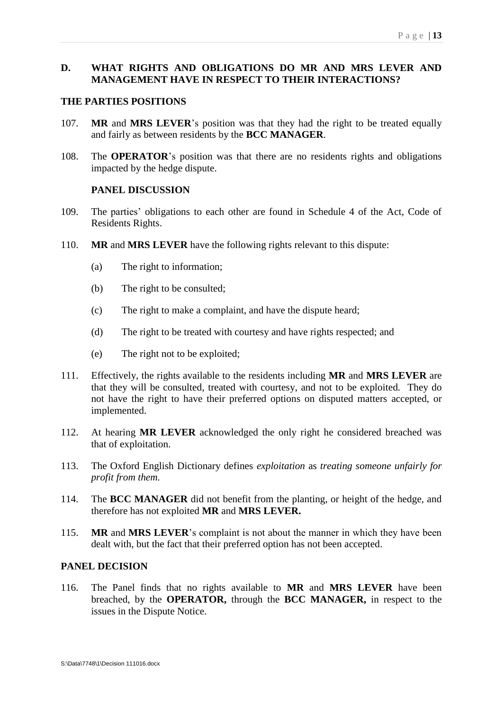# <span id="page-15-0"></span>**D. WHAT RIGHTS AND OBLIGATIONS DO MR AND MRS LEVER AND MANAGEMENT HAVE IN RESPECT TO THEIR INTERACTIONS?**

### <span id="page-15-1"></span>**THE PARTIES POSITIONS**

- 107. **MR** and **MRS LEVER**'s position was that they had the right to be treated equally and fairly as between residents by the **BCC MANAGER**.
- 108. The **OPERATOR**'s position was that there are no residents rights and obligations impacted by the hedge dispute.

### **PANEL DISCUSSION**

- 109. The parties' obligations to each other are found in Schedule 4 of the Act, Code of Residents Rights.
- 110. **MR** and **MRS LEVER** have the following rights relevant to this dispute:
	- (a) The right to information;
	- (b) The right to be consulted;
	- (c) The right to make a complaint, and have the dispute heard;
	- (d) The right to be treated with courtesy and have rights respected; and
	- (e) The right not to be exploited;
- 111. Effectively, the rights available to the residents including **MR** and **MRS LEVER** are that they will be consulted, treated with courtesy, and not to be exploited. They do not have the right to have their preferred options on disputed matters accepted, or implemented.
- 112. At hearing **MR LEVER** acknowledged the only right he considered breached was that of exploitation.
- 113. The Oxford English Dictionary defines *exploitation* as *treating someone unfairly for profit from them.*
- 114. The **BCC MANAGER** did not benefit from the planting, or height of the hedge, and therefore has not exploited **MR** and **MRS LEVER.**
- 115. **MR** and **MRS LEVER**'s complaint is not about the manner in which they have been dealt with, but the fact that their preferred option has not been accepted.

#### <span id="page-15-2"></span>**PANEL DECISION**

116. The Panel finds that no rights available to **MR** and **MRS LEVER** have been breached, by the **OPERATOR,** through the **BCC MANAGER,** in respect to the issues in the Dispute Notice.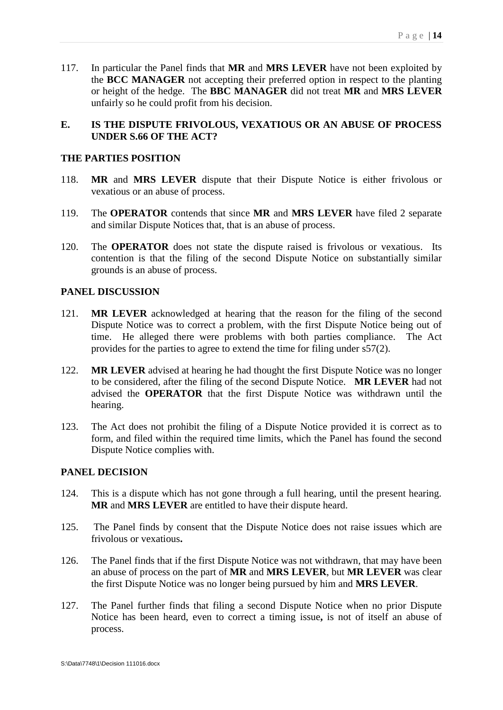117. In particular the Panel finds that **MR** and **MRS LEVER** have not been exploited by the **BCC MANAGER** not accepting their preferred option in respect to the planting or height of the hedge. The **BBC MANAGER** did not treat **MR** and **MRS LEVER** unfairly so he could profit from his decision.

# <span id="page-16-0"></span>**E. IS THE DISPUTE FRIVOLOUS, VEXATIOUS OR AN ABUSE OF PROCESS UNDER S.66 OF THE ACT?**

### <span id="page-16-1"></span>**THE PARTIES POSITION**

- 118. **MR** and **MRS LEVER** dispute that their Dispute Notice is either frivolous or vexatious or an abuse of process.
- 119. The **OPERATOR** contends that since **MR** and **MRS LEVER** have filed 2 separate and similar Dispute Notices that, that is an abuse of process.
- 120. The **OPERATOR** does not state the dispute raised is frivolous or vexatious. Its contention is that the filing of the second Dispute Notice on substantially similar grounds is an abuse of process.

### <span id="page-16-2"></span>**PANEL DISCUSSION**

- 121. **MR LEVER** acknowledged at hearing that the reason for the filing of the second Dispute Notice was to correct a problem, with the first Dispute Notice being out of time. He alleged there were problems with both parties compliance. The Act provides for the parties to agree to extend the time for filing under s57(2).
- 122. **MR LEVER** advised at hearing he had thought the first Dispute Notice was no longer to be considered, after the filing of the second Dispute Notice. **MR LEVER** had not advised the **OPERATOR** that the first Dispute Notice was withdrawn until the hearing.
- 123. The Act does not prohibit the filing of a Dispute Notice provided it is correct as to form, and filed within the required time limits, which the Panel has found the second Dispute Notice complies with.

- <span id="page-16-3"></span>124. This is a dispute which has not gone through a full hearing, until the present hearing. **MR** and **MRS LEVER** are entitled to have their dispute heard.
- 125. The Panel finds by consent that the Dispute Notice does not raise issues which are frivolous or vexatious**.**
- 126. The Panel finds that if the first Dispute Notice was not withdrawn, that may have been an abuse of process on the part of **MR** and **MRS LEVER**, but **MR LEVER** was clear the first Dispute Notice was no longer being pursued by him and **MRS LEVER**.
- 127. The Panel further finds that filing a second Dispute Notice when no prior Dispute Notice has been heard, even to correct a timing issue**,** is not of itself an abuse of process.